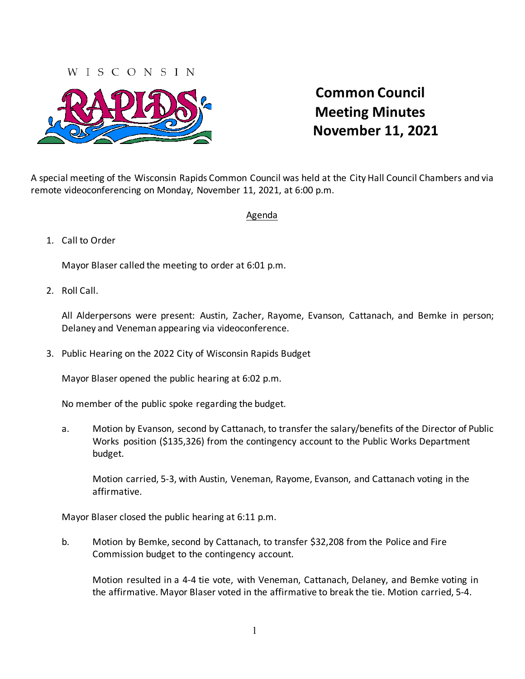## WISCONSIN



## **Common Council Meeting Minutes November 11, 2021**

A special meeting of the Wisconsin Rapids Common Council was held at the City Hall Council Chambers and via remote videoconferencing on Monday, November 11, 2021, at 6:00 p.m.

## Agenda

## 1. Call to Order

Mayor Blaser called the meeting to order at 6:01 p.m.

2. Roll Call.

All Alderpersons were present: Austin, Zacher, Rayome, Evanson, Cattanach, and Bemke in person; Delaney and Veneman appearing via videoconference.

3. Public Hearing on the 2022 City of Wisconsin Rapids Budget

Mayor Blaser opened the public hearing at 6:02 p.m.

No member of the public spoke regarding the budget.

a. Motion by Evanson, second by Cattanach, to transfer the salary/benefits of the Director of Public Works position (\$135,326) from the contingency account to the Public Works Department budget.

Motion carried, 5-3, with Austin, Veneman, Rayome, Evanson, and Cattanach voting in the affirmative.

Mayor Blaser closed the public hearing at 6:11 p.m.

b. Motion by Bemke, second by Cattanach, to transfer \$32,208 from the Police and Fire Commission budget to the contingency account.

Motion resulted in a 4-4 tie vote, with Veneman, Cattanach, Delaney, and Bemke voting in the affirmative. Mayor Blaser voted in the affirmative to break the tie. Motion carried, 5-4.